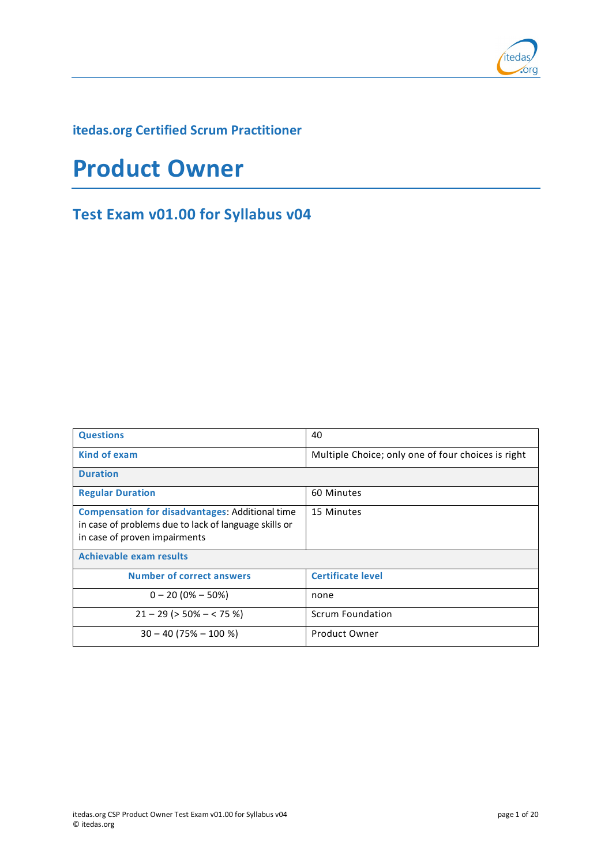

**itedas.org Certified Scrum Practitioner**

# **Product Owner**

# **Test Exam v01.00 for Syllabus v04**

| <b>Questions</b>                                                                                                                                 | 40                                                 |  |  |  |
|--------------------------------------------------------------------------------------------------------------------------------------------------|----------------------------------------------------|--|--|--|
| Kind of exam                                                                                                                                     | Multiple Choice; only one of four choices is right |  |  |  |
| <b>Duration</b>                                                                                                                                  |                                                    |  |  |  |
| <b>Regular Duration</b>                                                                                                                          | 60 Minutes                                         |  |  |  |
| <b>Compensation for disadvantages: Additional time</b><br>in case of problems due to lack of language skills or<br>in case of proven impairments | 15 Minutes                                         |  |  |  |
| Achievable exam results                                                                                                                          |                                                    |  |  |  |
| <b>Number of correct answers</b>                                                                                                                 | <b>Certificate level</b>                           |  |  |  |
| $0 - 20 (0\% - 50\%)$                                                                                                                            | none                                               |  |  |  |
| $21 - 29$ (> 50% - < 75 %)                                                                                                                       | <b>Scrum Foundation</b>                            |  |  |  |
| $30 - 40(75\% - 100\%)$                                                                                                                          | <b>Product Owner</b>                               |  |  |  |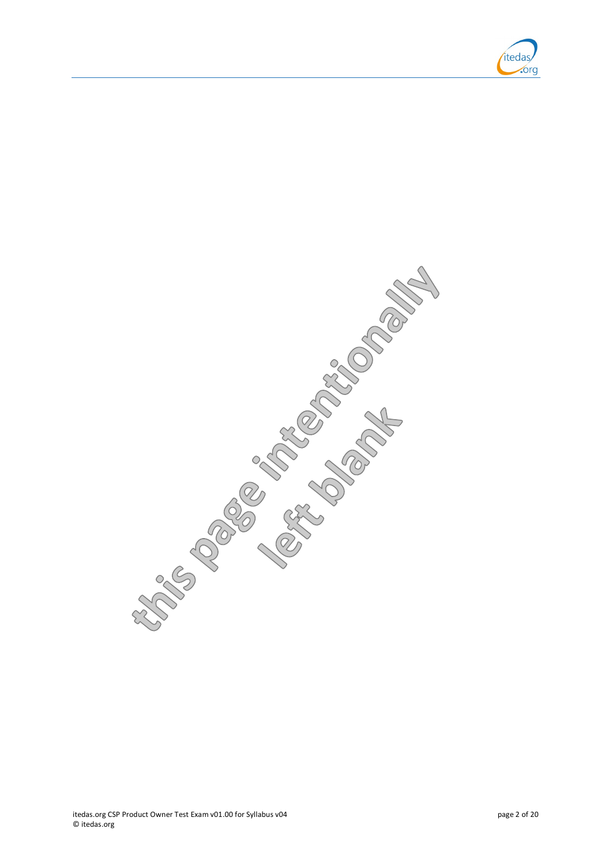

Mission Reading Miles of Page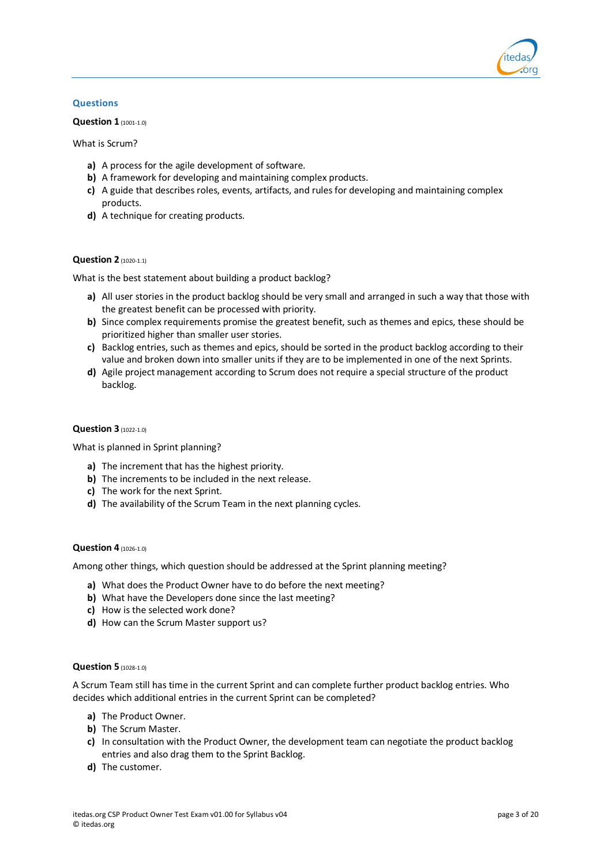

# **Questions**

**Question 1** (1001-1.0)

What is Scrum?

- **a)** A process for the agile development of software.
- **b)** A framework for developing and maintaining complex products.
- **c)** A guide that describes roles, events, artifacts, and rules for developing and maintaining complex products.
- **d)** A technique for creating products.

#### **Question 2** (1020-1.1)

What is the best statement about building a product backlog?

- **a)** All user stories in the product backlog should be very small and arranged in such a way that those with the greatest benefit can be processed with priority.
- **b)** Since complex requirements promise the greatest benefit, such as themes and epics, these should be prioritized higher than smaller user stories.
- **c)** Backlog entries, such as themes and epics, should be sorted in the product backlog according to their value and broken down into smaller units if they are to be implemented in one of the next Sprints.
- **d)** Agile project management according to Scrum does not require a special structure of the product backlog.

#### **Question 3** (1022-1.0)

What is planned in Sprint planning?

- **a)** The increment that has the highest priority.
- **b)** The increments to be included in the next release.
- **c)** The work for the next Sprint.
- **d)** The availability of the Scrum Team in the next planning cycles.

#### **Question 4** (1026-1.0)

Among other things, which question should be addressed at the Sprint planning meeting?

- **a)** What does the Product Owner have to do before the next meeting?
- **b)** What have the Developers done since the last meeting?
- **c)** How is the selected work done?
- **d)** How can the Scrum Master support us?

#### **Question 5** (1028-1.0)

A Scrum Team still has time in the current Sprint and can complete further product backlog entries. Who decides which additional entries in the current Sprint can be completed?

- **a)** The Product Owner.
- **b)** The Scrum Master.
- **c)** In consultation with the Product Owner, the development team can negotiate the product backlog entries and also drag them to the Sprint Backlog.
- **d)** The customer.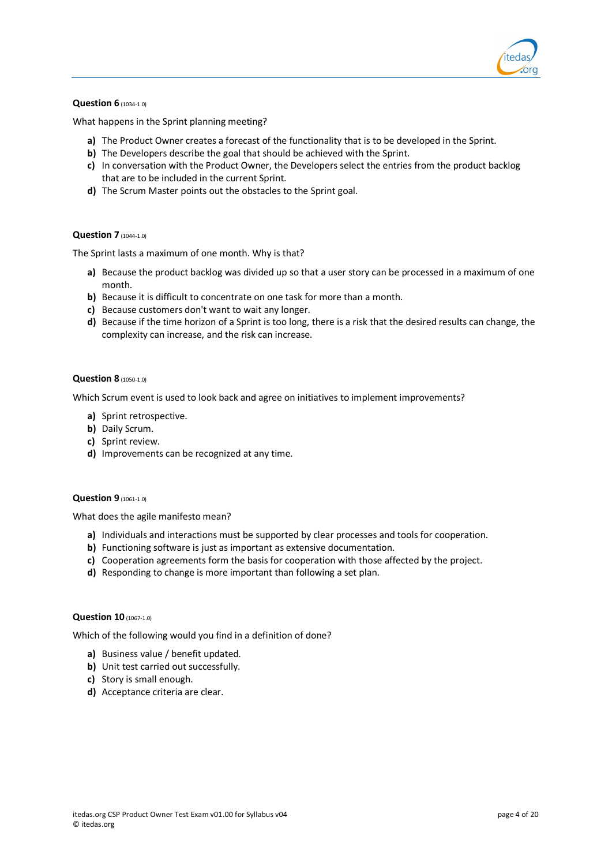

#### **Question 6** (1034-1.0)

What happens in the Sprint planning meeting?

- **a)** The Product Owner creates a forecast of the functionality that is to be developed in the Sprint.
- **b)** The Developers describe the goal that should be achieved with the Sprint.
- **c)** In conversation with the Product Owner, the Developers select the entries from the product backlog that are to be included in the current Sprint.
- **d)** The Scrum Master points out the obstacles to the Sprint goal.

#### **Question 7** (1044-1.0)

The Sprint lasts a maximum of one month. Why is that?

- **a)** Because the product backlog was divided up so that a user story can be processed in a maximum of one month.
- **b)** Because it is difficult to concentrate on one task for more than a month.
- **c)** Because customers don't want to wait any longer.
- **d)** Because if the time horizon of a Sprint is too long, there is a risk that the desired results can change, the complexity can increase, and the risk can increase.

#### **Question 8** (1050-1.0)

Which Scrum event is used to look back and agree on initiatives to implement improvements?

- **a)** Sprint retrospective.
- **b)** Daily Scrum.
- **c)** Sprint review.
- **d)** Improvements can be recognized at any time.

#### **Question 9** (1061-1.0)

What does the agile manifesto mean?

- **a)** Individuals and interactions must be supported by clear processes and tools for cooperation.
- **b)** Functioning software is just as important as extensive documentation.
- **c)** Cooperation agreements form the basis for cooperation with those affected by the project.
- **d)** Responding to change is more important than following a set plan.

# **Question 10** (1067-1.0)

Which of the following would you find in a definition of done?

- **a)** Business value / benefit updated.
- **b)** Unit test carried out successfully.
- **c)** Story is small enough.
- **d)** Acceptance criteria are clear.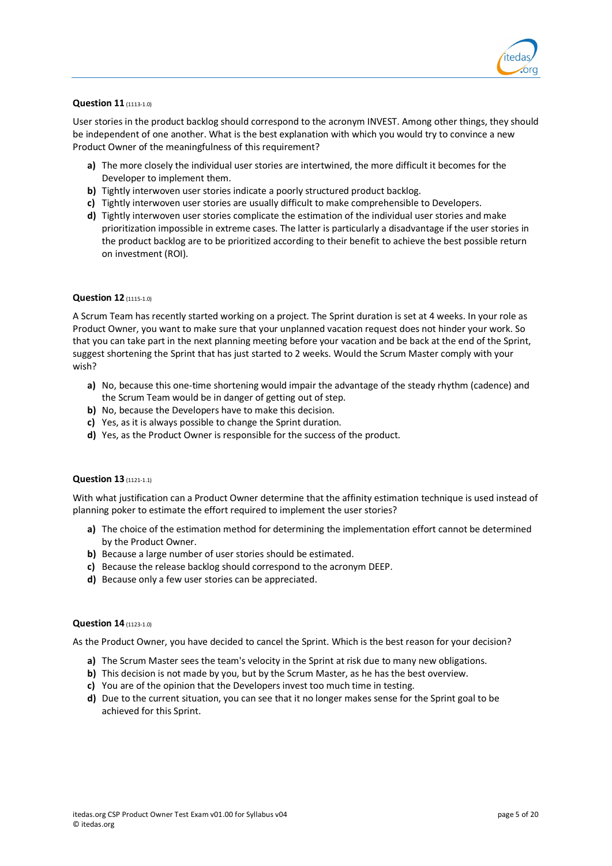

#### **Question 11** (1113-1.0)

User stories in the product backlog should correspond to the acronym INVEST. Among other things, they should be independent of one another. What is the best explanation with which you would try to convince a new Product Owner of the meaningfulness of this requirement?

- **a)** The more closely the individual user stories are intertwined, the more difficult it becomes for the Developer to implement them.
- **b)** Tightly interwoven user stories indicate a poorly structured product backlog.
- **c)** Tightly interwoven user stories are usually difficult to make comprehensible to Developers.
- **d)** Tightly interwoven user stories complicate the estimation of the individual user stories and make prioritization impossible in extreme cases. The latter is particularly a disadvantage if the user stories in the product backlog are to be prioritized according to their benefit to achieve the best possible return on investment (ROI).

#### **Question 12** (1115-1.0)

A Scrum Team has recently started working on a project. The Sprint duration is set at 4 weeks. In your role as Product Owner, you want to make sure that your unplanned vacation request does not hinder your work. So that you can take part in the next planning meeting before your vacation and be back at the end of the Sprint, suggest shortening the Sprint that has just started to 2 weeks. Would the Scrum Master comply with your wish?

- **a)** No, because this one-time shortening would impair the advantage of the steady rhythm (cadence) and the Scrum Team would be in danger of getting out of step.
- **b)** No, because the Developers have to make this decision.
- **c)** Yes, as it is always possible to change the Sprint duration.
- **d)** Yes, as the Product Owner is responsible for the success of the product.

# **Question 13** (1121-1.1)

With what justification can a Product Owner determine that the affinity estimation technique is used instead of planning poker to estimate the effort required to implement the user stories?

- **a)** The choice of the estimation method for determining the implementation effort cannot be determined by the Product Owner.
- **b)** Because a large number of user stories should be estimated.
- **c)** Because the release backlog should correspond to the acronym DEEP.
- **d)** Because only a few user stories can be appreciated.

#### **Question 14** (1123-1.0)

As the Product Owner, you have decided to cancel the Sprint. Which is the best reason for your decision?

- **a)** The Scrum Master sees the team's velocity in the Sprint at risk due to many new obligations.
- **b)** This decision is not made by you, but by the Scrum Master, as he has the best overview.
- **c)** You are of the opinion that the Developers invest too much time in testing.
- **d)** Due to the current situation, you can see that it no longer makes sense for the Sprint goal to be achieved for this Sprint.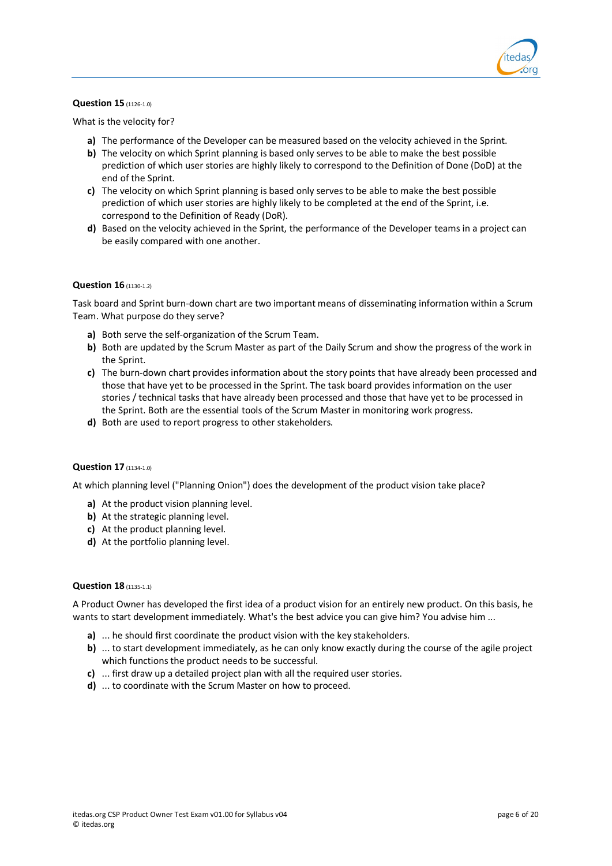

#### **Question 15** (1126-1.0)

What is the velocity for?

- **a)** The performance of the Developer can be measured based on the velocity achieved in the Sprint.
- **b)** The velocity on which Sprint planning is based only serves to be able to make the best possible prediction of which user stories are highly likely to correspond to the Definition of Done (DoD) at the end of the Sprint.
- **c)** The velocity on which Sprint planning is based only serves to be able to make the best possible prediction of which user stories are highly likely to be completed at the end of the Sprint, i.e. correspond to the Definition of Ready (DoR).
- **d)** Based on the velocity achieved in the Sprint, the performance of the Developer teams in a project can be easily compared with one another.

#### **Question 16** (1130-1.2)

Task board and Sprint burn-down chart are two important means of disseminating information within a Scrum Team. What purpose do they serve?

- **a)** Both serve the self-organization of the Scrum Team.
- **b)** Both are updated by the Scrum Master as part of the Daily Scrum and show the progress of the work in the Sprint.
- **c)** The burn-down chart provides information about the story points that have already been processed and those that have yet to be processed in the Sprint. The task board provides information on the user stories / technical tasks that have already been processed and those that have yet to be processed in the Sprint. Both are the essential tools of the Scrum Master in monitoring work progress.
- **d)** Both are used to report progress to other stakeholders.

#### **Question 17** (1134-1.0)

At which planning level ("Planning Onion") does the development of the product vision take place?

- **a)** At the product vision planning level.
- **b)** At the strategic planning level.
- **c)** At the product planning level.
- **d)** At the portfolio planning level.

#### **Question 18** (1135-1.1)

A Product Owner has developed the first idea of a product vision for an entirely new product. On this basis, he wants to start development immediately. What's the best advice you can give him? You advise him ...

- **a)** ... he should first coordinate the product vision with the key stakeholders.
- **b)** ... to start development immediately, as he can only know exactly during the course of the agile project which functions the product needs to be successful.
- **c)** ... first draw up a detailed project plan with all the required user stories.
- **d)** ... to coordinate with the Scrum Master on how to proceed.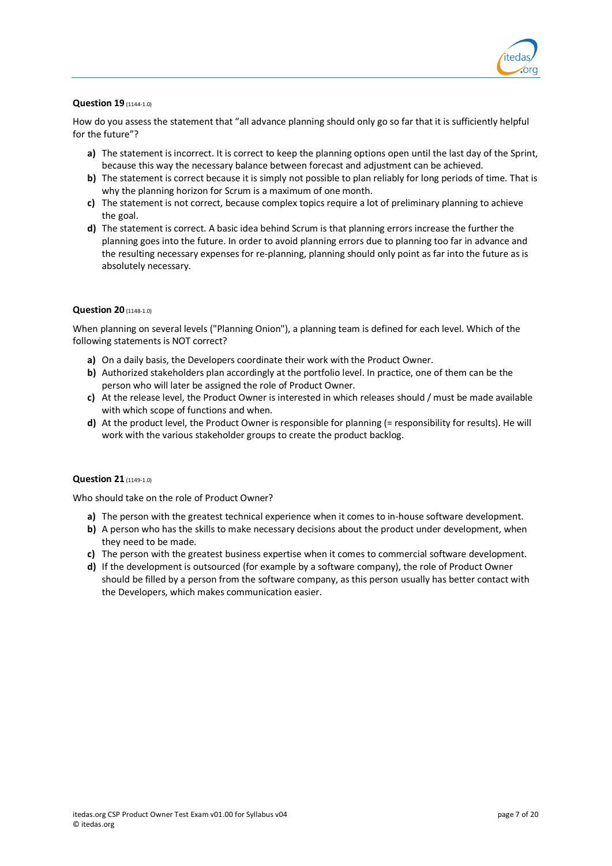

### **Question 19** (1144-1.0)

How do you assess the statement that "all advance planning should only go so far that it is sufficiently helpful for the future"?

- **a)** The statement is incorrect. It is correct to keep the planning options open until the last day of the Sprint, because this way the necessary balance between forecast and adjustment can be achieved.
- **b)** The statement is correct because it is simply not possible to plan reliably for long periods of time. That is why the planning horizon for Scrum is a maximum of one month.
- **c)** The statement is not correct, because complex topics require a lot of preliminary planning to achieve the goal.
- **d)** The statement is correct. A basic idea behind Scrum is that planning errors increase the further the planning goes into the future. In order to avoid planning errors due to planning too far in advance and the resulting necessary expenses for re-planning, planning should only point as far into the future as is absolutely necessary.

# **Question 20** (1148-1.0)

When planning on several levels ("Planning Onion"), a planning team is defined for each level. Which of the following statements is NOT correct?

- **a)** On a daily basis, the Developers coordinate their work with the Product Owner.
- **b)** Authorized stakeholders plan accordingly at the portfolio level. In practice, one of them can be the person who will later be assigned the role of Product Owner.
- **c)** At the release level, the Product Owner is interested in which releases should / must be made available with which scope of functions and when.
- **d)** At the product level, the Product Owner is responsible for planning (= responsibility for results). He will work with the various stakeholder groups to create the product backlog.

# **Question 21** (1149-1.0)

Who should take on the role of Product Owner?

- **a)** The person with the greatest technical experience when it comes to in-house software development.
- **b)** A person who has the skills to make necessary decisions about the product under development, when they need to be made.
- **c)** The person with the greatest business expertise when it comes to commercial software development.
- **d)** If the development is outsourced (for example by a software company), the role of Product Owner should be filled by a person from the software company, as this person usually has better contact with the Developers, which makes communication easier.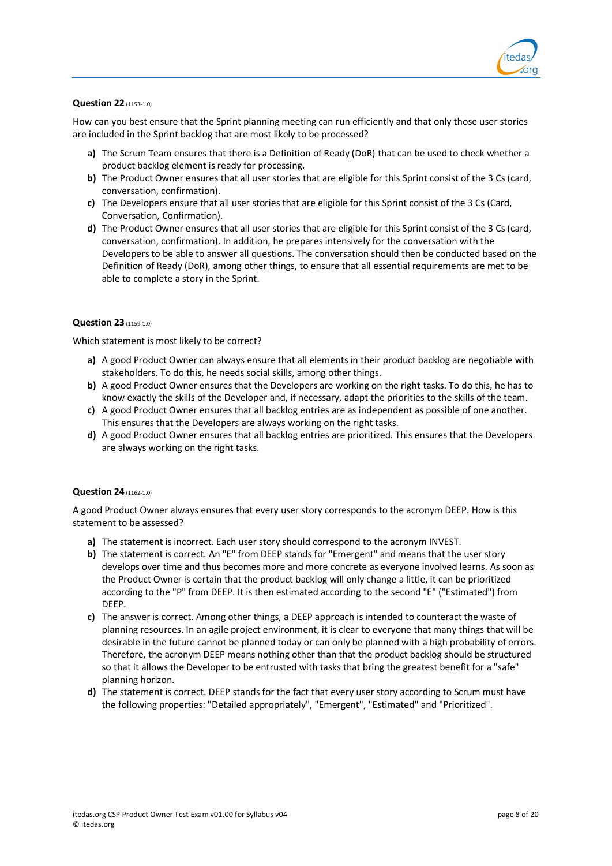

#### **Question 22** (1153-1.0)

How can you best ensure that the Sprint planning meeting can run efficiently and that only those user stories are included in the Sprint backlog that are most likely to be processed?

- **a)** The Scrum Team ensures that there is a Definition of Ready (DoR) that can be used to check whether a product backlog element is ready for processing.
- **b)** The Product Owner ensures that all user stories that are eligible for this Sprint consist of the 3 Cs (card, conversation, confirmation).
- **c)** The Developers ensure that all user stories that are eligible for this Sprint consist of the 3 Cs (Card, Conversation, Confirmation).
- **d)** The Product Owner ensures that all user stories that are eligible for this Sprint consist of the 3 Cs (card, conversation, confirmation). In addition, he prepares intensively for the conversation with the Developers to be able to answer all questions. The conversation should then be conducted based on the Definition of Ready (DoR), among other things, to ensure that all essential requirements are met to be able to complete a story in the Sprint.

#### **Question 23** (1159-1.0)

Which statement is most likely to be correct?

- **a)** A good Product Owner can always ensure that all elements in their product backlog are negotiable with stakeholders. To do this, he needs social skills, among other things.
- **b)** A good Product Owner ensures that the Developers are working on the right tasks. To do this, he has to know exactly the skills of the Developer and, if necessary, adapt the priorities to the skills of the team.
- **c)** A good Product Owner ensures that all backlog entries are as independent as possible of one another. This ensures that the Developers are always working on the right tasks.
- **d)** A good Product Owner ensures that all backlog entries are prioritized. This ensures that the Developers are always working on the right tasks.

#### **Question 24** (1162-1.0)

A good Product Owner always ensures that every user story corresponds to the acronym DEEP. How is this statement to be assessed?

- **a)** The statement is incorrect. Each user story should correspond to the acronym INVEST.
- **b)** The statement is correct. An "E" from DEEP stands for "Emergent" and means that the user story develops over time and thus becomes more and more concrete as everyone involved learns. As soon as the Product Owner is certain that the product backlog will only change a little, it can be prioritized according to the "P" from DEEP. It is then estimated according to the second "E" ("Estimated") from DEEP.
- **c)** The answer is correct. Among other things, a DEEP approach is intended to counteract the waste of planning resources. In an agile project environment, it is clear to everyone that many things that will be desirable in the future cannot be planned today or can only be planned with a high probability of errors. Therefore, the acronym DEEP means nothing other than that the product backlog should be structured so that it allows the Developer to be entrusted with tasks that bring the greatest benefit for a "safe" planning horizon.
- **d)** The statement is correct. DEEP stands for the fact that every user story according to Scrum must have the following properties: "Detailed appropriately", "Emergent", "Estimated" and "Prioritized".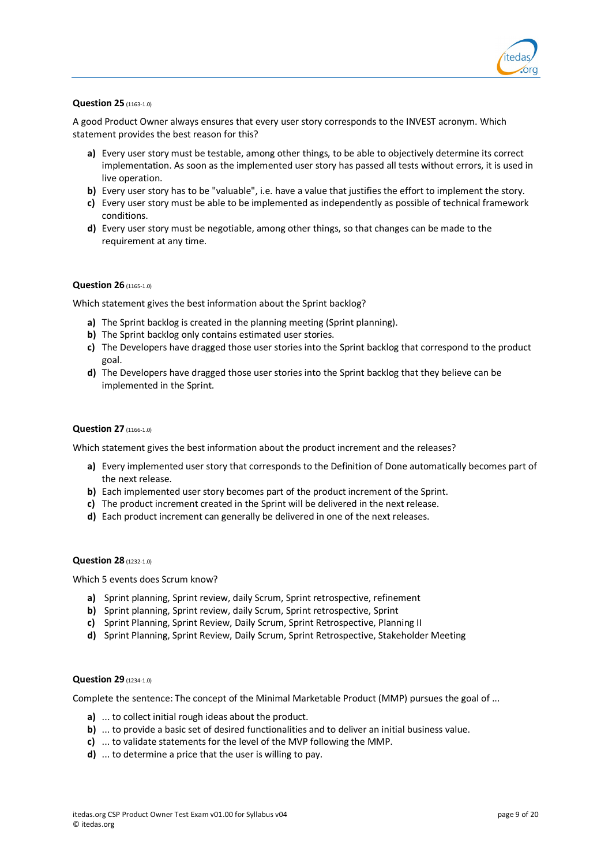

#### **Question 25** (1163-1.0)

A good Product Owner always ensures that every user story corresponds to the INVEST acronym. Which statement provides the best reason for this?

- **a)** Every user story must be testable, among other things, to be able to objectively determine its correct implementation. As soon as the implemented user story has passed all tests without errors, it is used in live operation.
- **b)** Every user story has to be "valuable", i.e. have a value that justifies the effort to implement the story.
- **c)** Every user story must be able to be implemented as independently as possible of technical framework conditions.
- **d)** Every user story must be negotiable, among other things, so that changes can be made to the requirement at any time.

#### **Question 26** (1165-1.0)

Which statement gives the best information about the Sprint backlog?

- **a)** The Sprint backlog is created in the planning meeting (Sprint planning).
- **b)** The Sprint backlog only contains estimated user stories.
- **c)** The Developers have dragged those user stories into the Sprint backlog that correspond to the product goal.
- **d)** The Developers have dragged those user stories into the Sprint backlog that they believe can be implemented in the Sprint.

#### **Question 27** (1166-1.0)

Which statement gives the best information about the product increment and the releases?

- **a)** Every implemented user story that corresponds to the Definition of Done automatically becomes part of the next release.
- **b)** Each implemented user story becomes part of the product increment of the Sprint.
- **c)** The product increment created in the Sprint will be delivered in the next release.
- **d)** Each product increment can generally be delivered in one of the next releases.

#### **Question 28** (1232-1.0)

Which 5 events does Scrum know?

- **a)** Sprint planning, Sprint review, daily Scrum, Sprint retrospective, refinement
- **b)** Sprint planning, Sprint review, daily Scrum, Sprint retrospective, Sprint
- **c)** Sprint Planning, Sprint Review, Daily Scrum, Sprint Retrospective, Planning II
- **d)** Sprint Planning, Sprint Review, Daily Scrum, Sprint Retrospective, Stakeholder Meeting

#### **Question 29** (1234-1.0)

Complete the sentence: The concept of the Minimal Marketable Product (MMP) pursues the goal of ...

- **a)** ... to collect initial rough ideas about the product.
- **b)** ... to provide a basic set of desired functionalities and to deliver an initial business value.
- **c)** ... to validate statements for the level of the MVP following the MMP.
- **d)** ... to determine a price that the user is willing to pay.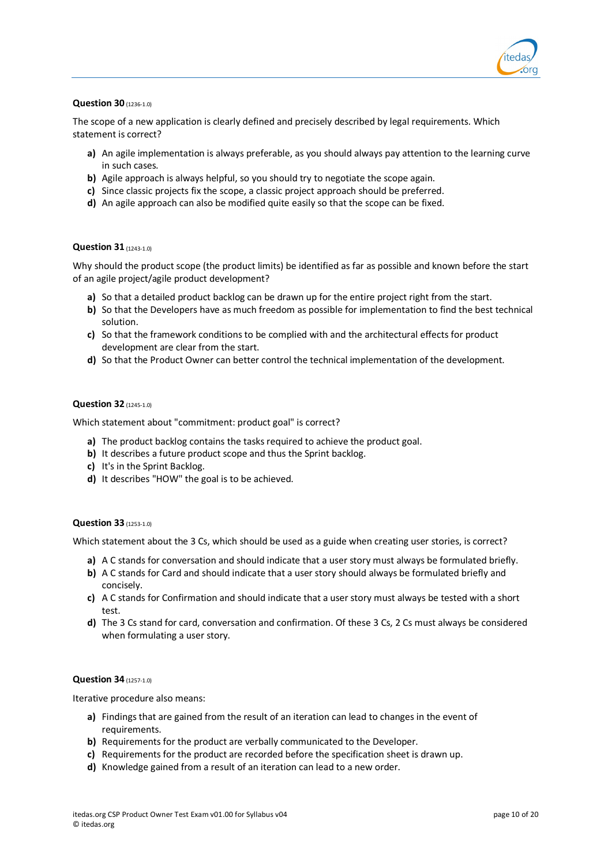

#### **Question 30** (1236-1.0)

The scope of a new application is clearly defined and precisely described by legal requirements. Which statement is correct?

- **a)** An agile implementation is always preferable, as you should always pay attention to the learning curve in such cases.
- **b)** Agile approach is always helpful, so you should try to negotiate the scope again.
- **c)** Since classic projects fix the scope, a classic project approach should be preferred.
- **d)** An agile approach can also be modified quite easily so that the scope can be fixed.

#### **Question 31** (1243-1.0)

Why should the product scope (the product limits) be identified as far as possible and known before the start of an agile project/agile product development?

- **a)** So that a detailed product backlog can be drawn up for the entire project right from the start.
- **b)** So that the Developers have as much freedom as possible for implementation to find the best technical solution.
- **c)** So that the framework conditions to be complied with and the architectural effects for product development are clear from the start.
- **d)** So that the Product Owner can better control the technical implementation of the development.

#### **Question 32** (1245-1.0)

Which statement about "commitment: product goal" is correct?

- **a)** The product backlog contains the tasks required to achieve the product goal.
- **b)** It describes a future product scope and thus the Sprint backlog.
- **c)** It's in the Sprint Backlog.
- **d)** It describes "HOW" the goal is to be achieved.

### **Question 33** (1253-1.0)

Which statement about the 3 Cs, which should be used as a guide when creating user stories, is correct?

- **a)** A C stands for conversation and should indicate that a user story must always be formulated briefly.
- **b)** A C stands for Card and should indicate that a user story should always be formulated briefly and concisely.
- **c)** A C stands for Confirmation and should indicate that a user story must always be tested with a short test.
- **d)** The 3 Cs stand for card, conversation and confirmation. Of these 3 Cs, 2 Cs must always be considered when formulating a user story.

# **Question 34** (1257-1.0)

Iterative procedure also means:

- **a)** Findings that are gained from the result of an iteration can lead to changes in the event of requirements.
- **b)** Requirements for the product are verbally communicated to the Developer.
- **c)** Requirements for the product are recorded before the specification sheet is drawn up.
- **d)** Knowledge gained from a result of an iteration can lead to a new order.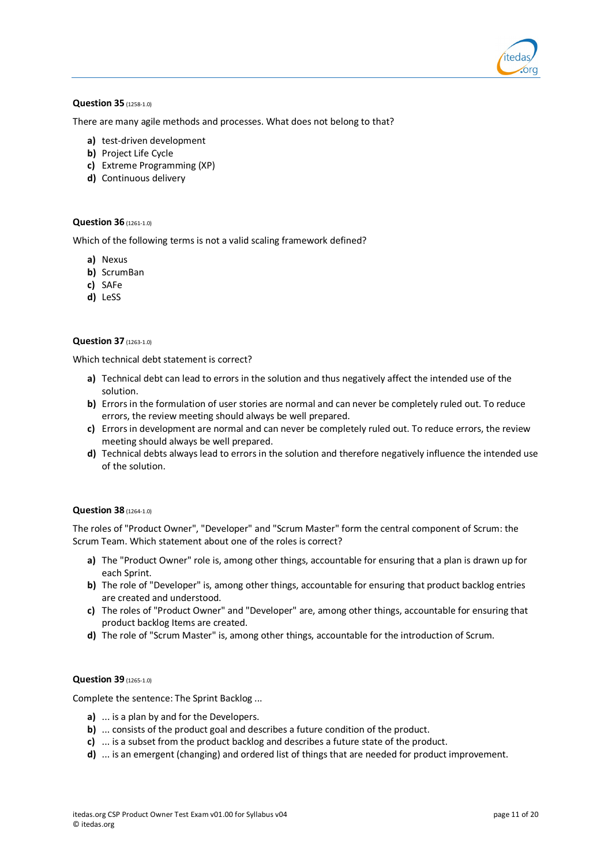

#### **Question 35** (1258-1.0)

There are many agile methods and processes. What does not belong to that?

- **a)** test-driven development
- **b)** Project Life Cycle
- **c)** Extreme Programming (XP)
- **d)** Continuous delivery

#### **Question 36** (1261-1.0)

Which of the following terms is not a valid scaling framework defined?

- **a)** Nexus
- **b)** ScrumBan
- **c)** SAFe
- **d)** LeSS

#### **Question 37** (1263-1.0)

Which technical debt statement is correct?

- **a)** Technical debt can lead to errors in the solution and thus negatively affect the intended use of the solution.
- **b)** Errors in the formulation of user stories are normal and can never be completely ruled out. To reduce errors, the review meeting should always be well prepared.
- **c)** Errors in development are normal and can never be completely ruled out. To reduce errors, the review meeting should always be well prepared.
- **d)** Technical debts always lead to errors in the solution and therefore negatively influence the intended use of the solution.

#### **Question 38** (1264-1.0)

The roles of "Product Owner", "Developer" and "Scrum Master" form the central component of Scrum: the Scrum Team. Which statement about one of the roles is correct?

- **a)** The "Product Owner" role is, among other things, accountable for ensuring that a plan is drawn up for each Sprint.
- **b)** The role of "Developer" is, among other things, accountable for ensuring that product backlog entries are created and understood.
- **c)** The roles of "Product Owner" and "Developer" are, among other things, accountable for ensuring that product backlog Items are created.
- **d)** The role of "Scrum Master" is, among other things, accountable for the introduction of Scrum.

#### **Question 39** (1265-1.0)

Complete the sentence: The Sprint Backlog ...

- **a)** ... is a plan by and for the Developers.
- **b)** ... consists of the product goal and describes a future condition of the product.
- **c)** ... is a subset from the product backlog and describes a future state of the product.
- **d)** ... is an emergent (changing) and ordered list of things that are needed for product improvement.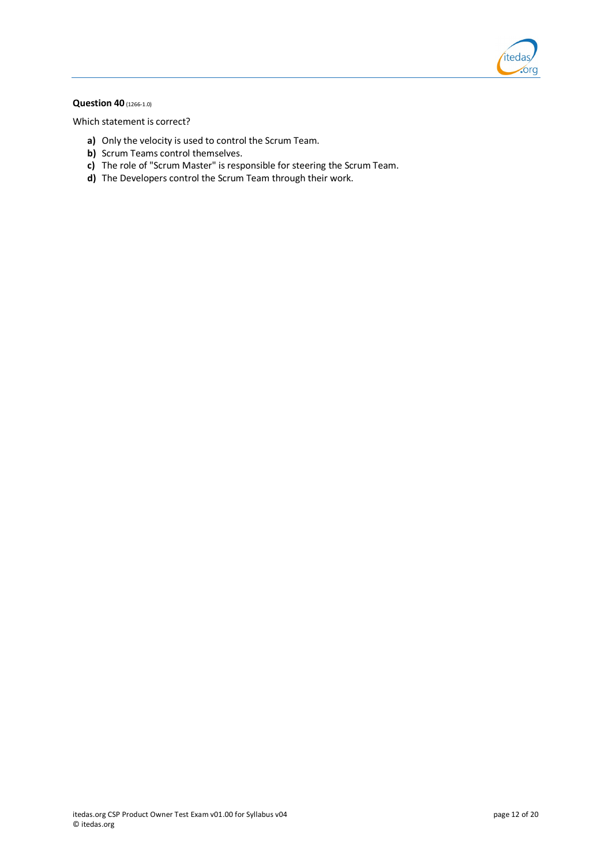

# **Question 40** (1266-1.0)

Which statement is correct?

- **a)** Only the velocity is used to control the Scrum Team.
- **b)** Scrum Teams control themselves.
- **c)** The role of "Scrum Master" is responsible for steering the Scrum Team.
- **d)** The Developers control the Scrum Team through their work.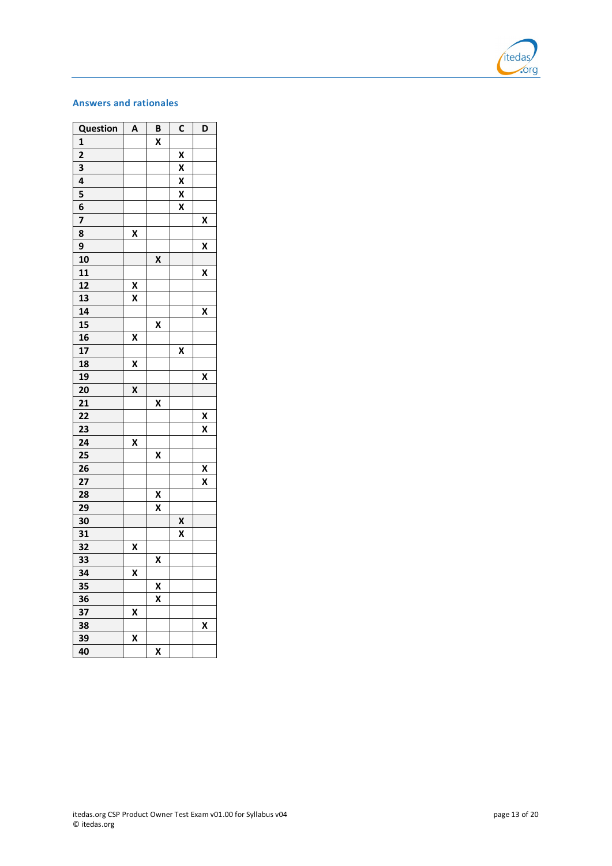

# **Answers and rationales**

| <b>Question</b>         | A                       | B | C                       | D                       |
|-------------------------|-------------------------|---|-------------------------|-------------------------|
| 1                       |                         | X |                         |                         |
| $\overline{\mathbf{c}}$ |                         |   | X                       |                         |
| 3                       |                         |   | X                       |                         |
| 4                       |                         |   | X                       |                         |
| 5                       |                         |   | X                       |                         |
| 6                       |                         |   | X                       |                         |
| 7                       |                         |   |                         | X                       |
| 8                       | X                       |   |                         |                         |
| 9                       |                         |   |                         | X                       |
| 10                      |                         | X |                         |                         |
| 11                      |                         |   |                         | X                       |
| 12                      | X                       |   |                         |                         |
| 13                      | $\overline{\mathbf{x}}$ |   |                         |                         |
| 14                      |                         |   |                         | X                       |
| 15                      |                         | X |                         |                         |
| 16                      | X                       |   |                         |                         |
| 17                      |                         |   | X                       |                         |
| 18                      | X                       |   |                         |                         |
| 19                      |                         |   |                         | X                       |
| 20                      | X                       |   |                         |                         |
| 21                      |                         | X |                         |                         |
| 22                      |                         |   |                         | X                       |
| 23                      |                         |   |                         | X                       |
| 24                      | X                       |   |                         |                         |
| 25                      |                         | X |                         |                         |
| 26                      |                         |   |                         | X                       |
| 27                      |                         |   |                         | $\overline{\mathbf{x}}$ |
| 28                      |                         | X |                         |                         |
| 29                      |                         | X |                         |                         |
| 30                      |                         |   | X                       |                         |
| 31                      |                         |   | $\overline{\mathbf{x}}$ |                         |
| 32                      | X                       |   |                         |                         |
| 33                      |                         | X |                         |                         |
| 34                      | X                       |   |                         |                         |
| 35                      |                         | X |                         |                         |
| 36                      |                         | X |                         |                         |
| 37                      | X                       |   |                         |                         |
| 38                      |                         |   |                         | X                       |
| 39                      | X                       |   |                         |                         |
| 40                      |                         | X |                         |                         |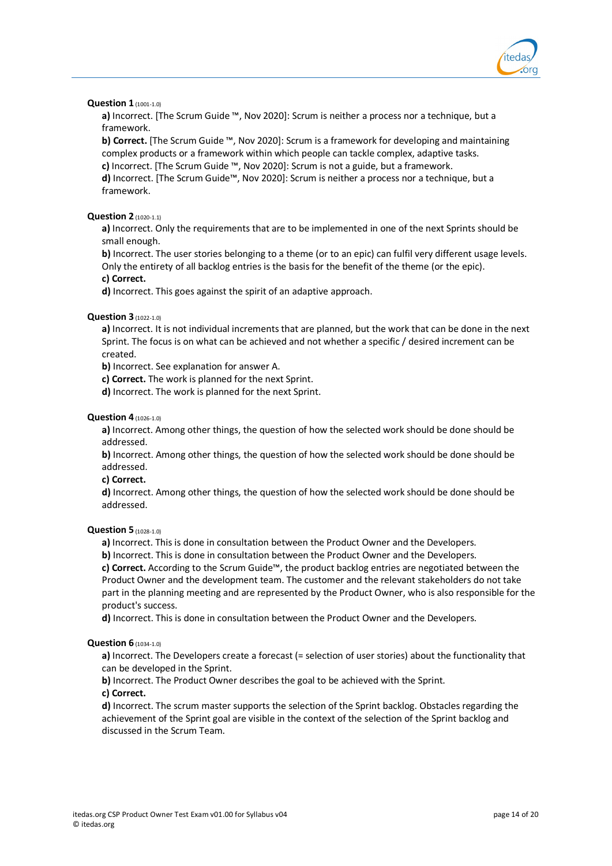

# **Question 1** (1001-1.0)

**a)** Incorrect. [The Scrum Guide ™, Nov 2020]: Scrum is neither a process nor a technique, but a framework.

**b) Correct.** [The Scrum Guide ™, Nov 2020]: Scrum is a framework for developing and maintaining complex products or a framework within which people can tackle complex, adaptive tasks.

**c)** Incorrect. [The Scrum Guide ™, Nov 2020]: Scrum is not a guide, but a framework.

**d)** Incorrect. [The Scrum Guide™, Nov 2020]: Scrum is neither a process nor a technique, but a framework.

# **Question 2** (1020-1.1)

**a)** Incorrect. Only the requirements that are to be implemented in one of the next Sprints should be small enough.

**b)** Incorrect. The user stories belonging to a theme (or to an epic) can fulfil very different usage levels. Only the entirety of all backlog entries is the basis for the benefit of the theme (or the epic). **c) Correct.**

**d)** Incorrect. This goes against the spirit of an adaptive approach.

# **Question 3** (1022-1.0)

**a)** Incorrect. It is not individual increments that are planned, but the work that can be done in the next Sprint. The focus is on what can be achieved and not whether a specific / desired increment can be created.

**b)** Incorrect. See explanation for answer A.

**c) Correct.** The work is planned for the next Sprint.

**d)** Incorrect. The work is planned for the next Sprint.

#### **Question 4** (1026-1.0)

**a)** Incorrect. Among other things, the question of how the selected work should be done should be addressed.

**b)** Incorrect. Among other things, the question of how the selected work should be done should be addressed.

#### **c) Correct.**

**d)** Incorrect. Among other things, the question of how the selected work should be done should be addressed.

#### **Question 5** (1028-1.0)

**a)** Incorrect. This is done in consultation between the Product Owner and the Developers.

**b)** Incorrect. This is done in consultation between the Product Owner and the Developers.

**c) Correct.** According to the Scrum Guide™, the product backlog entries are negotiated between the Product Owner and the development team. The customer and the relevant stakeholders do not take part in the planning meeting and are represented by the Product Owner, who is also responsible for the product's success.

**d)** Incorrect. This is done in consultation between the Product Owner and the Developers.

#### **Question 6** (1034-1.0)

**a)** Incorrect. The Developers create a forecast (= selection of user stories) about the functionality that can be developed in the Sprint.

**b)** Incorrect. The Product Owner describes the goal to be achieved with the Sprint.

# **c) Correct.**

**d)** Incorrect. The scrum master supports the selection of the Sprint backlog. Obstacles regarding the achievement of the Sprint goal are visible in the context of the selection of the Sprint backlog and discussed in the Scrum Team.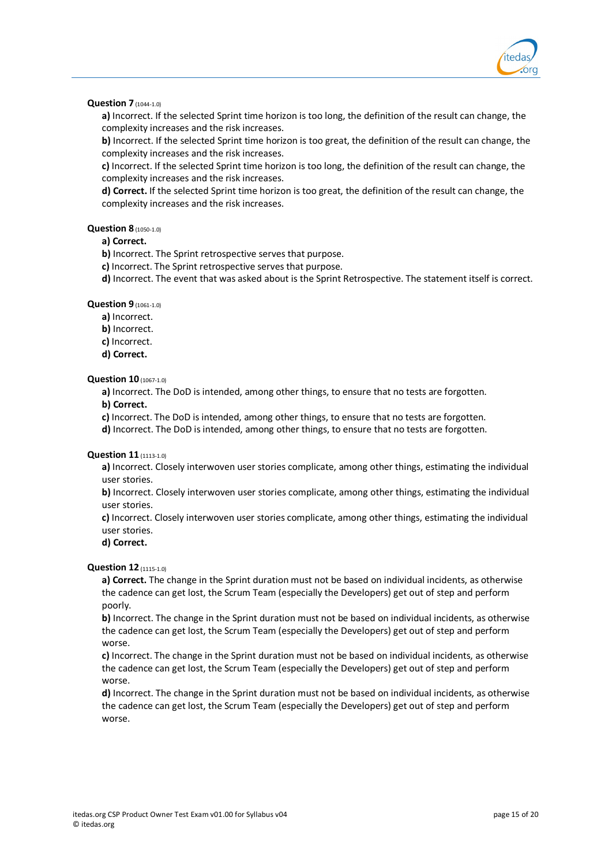

#### **Question 7** (1044-1.0)

**a)** Incorrect. If the selected Sprint time horizon is too long, the definition of the result can change, the complexity increases and the risk increases.

**b)** Incorrect. If the selected Sprint time horizon is too great, the definition of the result can change, the complexity increases and the risk increases.

**c)** Incorrect. If the selected Sprint time horizon is too long, the definition of the result can change, the complexity increases and the risk increases.

**d) Correct.** If the selected Sprint time horizon is too great, the definition of the result can change, the complexity increases and the risk increases.

### **Question 8** (1050-1.0)

**a) Correct.**

**b)** Incorrect. The Sprint retrospective serves that purpose.

**c)** Incorrect. The Sprint retrospective serves that purpose.

**d)** Incorrect. The event that was asked about is the Sprint Retrospective. The statement itself is correct.

#### **Question 9** (1061-1.0)

**a)** Incorrect.

**b)** Incorrect.

**c)** Incorrect.

**d) Correct.**

**Question 10** (1067-1.0)

**a)** Incorrect. The DoD is intended, among other things, to ensure that no tests are forgotten.

**b) Correct.**

**c)** Incorrect. The DoD is intended, among other things, to ensure that no tests are forgotten.

**d)** Incorrect. The DoD is intended, among other things, to ensure that no tests are forgotten.

#### **Question 11** (1113-1.0)

**a)** Incorrect. Closely interwoven user stories complicate, among other things, estimating the individual user stories.

**b)** Incorrect. Closely interwoven user stories complicate, among other things, estimating the individual user stories.

**c)** Incorrect. Closely interwoven user stories complicate, among other things, estimating the individual user stories.

**d) Correct.**

#### **Question 12** (1115-1.0)

**a) Correct.** The change in the Sprint duration must not be based on individual incidents, as otherwise the cadence can get lost, the Scrum Team (especially the Developers) get out of step and perform poorly.

**b**) Incorrect. The change in the Sprint duration must not be based on individual incidents, as otherwise the cadence can get lost, the Scrum Team (especially the Developers) get out of step and perform worse.

**c)** Incorrect. The change in the Sprint duration must not be based on individual incidents, as otherwise the cadence can get lost, the Scrum Team (especially the Developers) get out of step and perform worse.

**d)** Incorrect. The change in the Sprint duration must not be based on individual incidents, as otherwise the cadence can get lost, the Scrum Team (especially the Developers) get out of step and perform worse.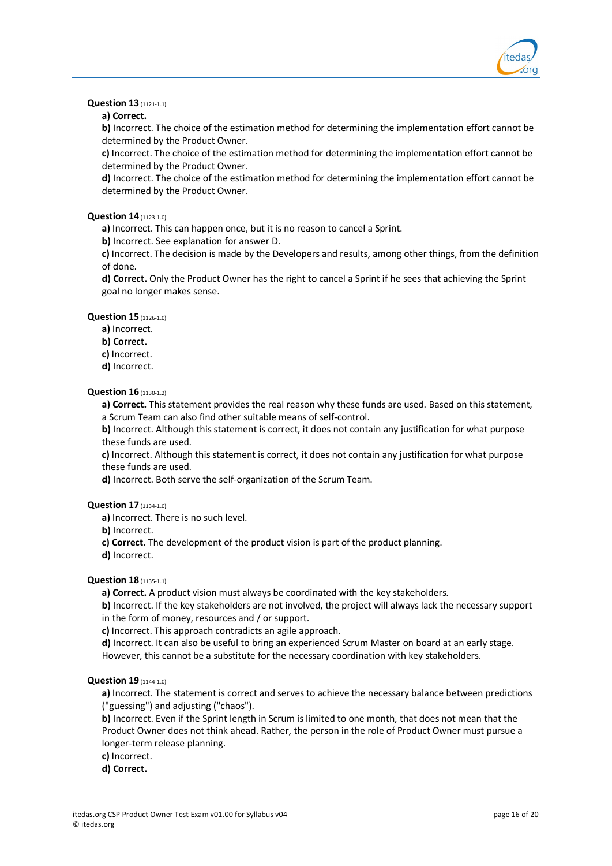

# **Question 13** (1121-1.1)

# **a) Correct.**

**b)** Incorrect. The choice of the estimation method for determining the implementation effort cannot be determined by the Product Owner.

**c)** Incorrect. The choice of the estimation method for determining the implementation effort cannot be determined by the Product Owner.

**d)** Incorrect. The choice of the estimation method for determining the implementation effort cannot be determined by the Product Owner.

#### **Question 14** (1123-1.0)

**a)** Incorrect. This can happen once, but it is no reason to cancel a Sprint.

**b)** Incorrect. See explanation for answer D.

**c)** Incorrect. The decision is made by the Developers and results, among other things, from the definition of done.

**d) Correct.** Only the Product Owner has the right to cancel a Sprint if he sees that achieving the Sprint goal no longer makes sense.

#### **Question 15** (1126-1.0)

**a)** Incorrect.

**b) Correct.**

**c)** Incorrect.

**d)** Incorrect.

#### **Question 16** (1130-1.2)

**a) Correct.** This statement provides the real reason why these funds are used. Based on this statement, a Scrum Team can also find other suitable means of self-control.

**b)** Incorrect. Although this statement is correct, it does not contain any justification for what purpose these funds are used.

**c)** Incorrect. Although this statement is correct, it does not contain any justification for what purpose these funds are used.

**d)** Incorrect. Both serve the self-organization of the Scrum Team.

# **Question 17** (1134-1.0)

**a)** Incorrect. There is no such level.

**b)** Incorrect.

**c) Correct.** The development of the product vision is part of the product planning.

**d)** Incorrect.

#### **Question 18** (1135-1.1)

**a) Correct.** A product vision must always be coordinated with the key stakeholders.

**b**) Incorrect. If the key stakeholders are not involved, the project will always lack the necessary support in the form of money, resources and / or support.

**c)** Incorrect. This approach contradicts an agile approach.

**d)** Incorrect. It can also be useful to bring an experienced Scrum Master on board at an early stage.

However, this cannot be a substitute for the necessary coordination with key stakeholders.

# **Question 19** (1144-1.0)

**a)** Incorrect. The statement is correct and serves to achieve the necessary balance between predictions ("guessing") and adjusting ("chaos").

**b)** Incorrect. Even if the Sprint length in Scrum is limited to one month, that does not mean that the Product Owner does not think ahead. Rather, the person in the role of Product Owner must pursue a longer-term release planning.

**c)** Incorrect.

**d) Correct.**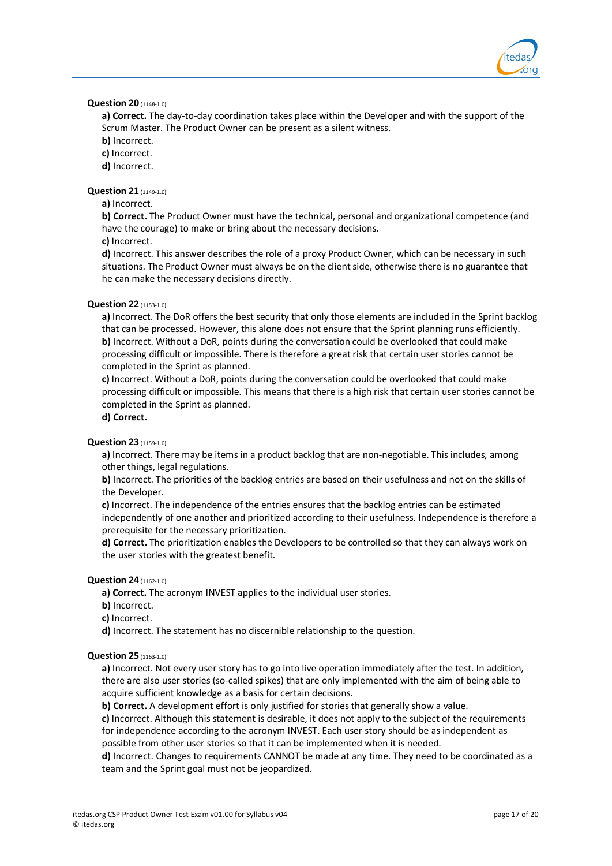

# **Question 20** (1148-1.0)

**a) Correct.** The day-to-day coordination takes place within the Developer and with the support of the Scrum Master. The Product Owner can be present as a silent witness.

**b)** Incorrect.

**c)** Incorrect.

**d)** Incorrect.

# **Question 21** (1149-1.0)

**a)** Incorrect.

**b) Correct.** The Product Owner must have the technical, personal and organizational competence (and have the courage) to make or bring about the necessary decisions.

**c)** Incorrect.

**d)** Incorrect. This answer describes the role of a proxy Product Owner, which can be necessary in such situations. The Product Owner must always be on the client side, otherwise there is no guarantee that he can make the necessary decisions directly.

# **Question 22** (1153-1.0)

**a)** Incorrect. The DoR offers the best security that only those elements are included in the Sprint backlog that can be processed. However, this alone does not ensure that the Sprint planning runs efficiently. **b)** Incorrect. Without a DoR, points during the conversation could be overlooked that could make processing difficult or impossible. There is therefore a great risk that certain user stories cannot be completed in the Sprint as planned.

**c)** Incorrect. Without a DoR, points during the conversation could be overlooked that could make processing difficult or impossible. This means that there is a high risk that certain user stories cannot be completed in the Sprint as planned.

**d) Correct.**

# **Question 23** (1159-1.0)

**a)** Incorrect. There may be items in a product backlog that are non-negotiable. This includes, among other things, legal regulations.

**b)** Incorrect. The priorities of the backlog entries are based on their usefulness and not on the skills of the Developer.

**c)** Incorrect. The independence of the entries ensures that the backlog entries can be estimated independently of one another and prioritized according to their usefulness. Independence is therefore a prerequisite for the necessary prioritization.

**d) Correct.** The prioritization enables the Developers to be controlled so that they can always work on the user stories with the greatest benefit.

#### **Question 24** (1162-1.0)

**a) Correct.** The acronym INVEST applies to the individual user stories.

**b)** Incorrect.

**c)** Incorrect.

**d)** Incorrect. The statement has no discernible relationship to the question.

# **Question 25** (1163-1.0)

**a)** Incorrect. Not every user story has to go into live operation immediately after the test. In addition, there are also user stories (so-called spikes) that are only implemented with the aim of being able to acquire sufficient knowledge as a basis for certain decisions.

**b) Correct.** A development effort is only justified for stories that generally show a value.

**c)** Incorrect. Although this statement is desirable, it does not apply to the subject of the requirements for independence according to the acronym INVEST. Each user story should be as independent as possible from other user stories so that it can be implemented when it is needed.

**d)** Incorrect. Changes to requirements CANNOT be made at any time. They need to be coordinated as a team and the Sprint goal must not be jeopardized.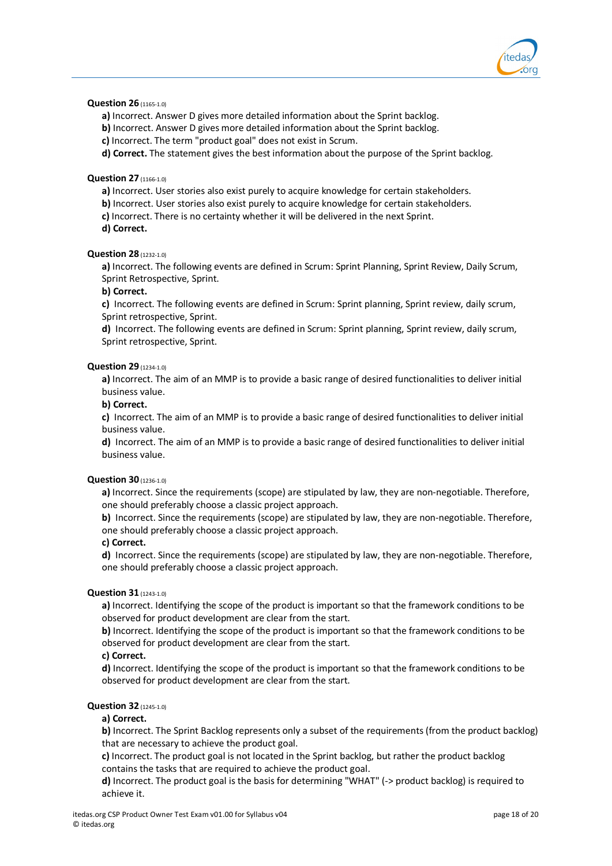

#### **Question 26** (1165-1.0)

- **a)** Incorrect. Answer D gives more detailed information about the Sprint backlog.
- **b)** Incorrect. Answer D gives more detailed information about the Sprint backlog.
- **c)** Incorrect. The term "product goal" does not exist in Scrum.
- **d) Correct.** The statement gives the best information about the purpose of the Sprint backlog.

#### **Question 27** (1166-1.0)

- **a)** Incorrect. User stories also exist purely to acquire knowledge for certain stakeholders.
- **b)** Incorrect. User stories also exist purely to acquire knowledge for certain stakeholders.
- **c)** Incorrect. There is no certainty whether it will be delivered in the next Sprint.
- **d) Correct.**

#### **Question 28** (1232-1.0)

**a)** Incorrect. The following events are defined in Scrum: Sprint Planning, Sprint Review, Daily Scrum, Sprint Retrospective, Sprint.

#### **b) Correct.**

**c)** Incorrect. The following events are defined in Scrum: Sprint planning, Sprint review, daily scrum, Sprint retrospective, Sprint.

**d)** Incorrect. The following events are defined in Scrum: Sprint planning, Sprint review, daily scrum, Sprint retrospective, Sprint.

#### **Question 29** (1234-1.0)

**a)** Incorrect. The aim of an MMP is to provide a basic range of desired functionalities to deliver initial business value.

#### **b) Correct.**

**c)** Incorrect. The aim of an MMP is to provide a basic range of desired functionalities to deliver initial business value.

**d)** Incorrect. The aim of an MMP is to provide a basic range of desired functionalities to deliver initial business value.

# **Question 30** (1236-1.0)

**a)** Incorrect. Since the requirements (scope) are stipulated by law, they are non-negotiable. Therefore, one should preferably choose a classic project approach.

**b)** Incorrect. Since the requirements (scope) are stipulated by law, they are non-negotiable. Therefore, one should preferably choose a classic project approach.

#### **c) Correct.**

**d)** Incorrect. Since the requirements (scope) are stipulated by law, they are non-negotiable. Therefore, one should preferably choose a classic project approach.

# **Question 31** (1243-1.0)

**a)** Incorrect. Identifying the scope of the product is important so that the framework conditions to be observed for product development are clear from the start.

**b)** Incorrect. Identifying the scope of the product is important so that the framework conditions to be observed for product development are clear from the start.

#### **c) Correct.**

**d)** Incorrect. Identifying the scope of the product is important so that the framework conditions to be observed for product development are clear from the start.

#### **Question 32** (1245-1.0)

#### **a) Correct.**

**b)** Incorrect. The Sprint Backlog represents only a subset of the requirements (from the product backlog) that are necessary to achieve the product goal.

**c)** Incorrect. The product goal is not located in the Sprint backlog, but rather the product backlog contains the tasks that are required to achieve the product goal.

**d)** Incorrect. The product goal is the basis for determining "WHAT" (-> product backlog) is required to achieve it.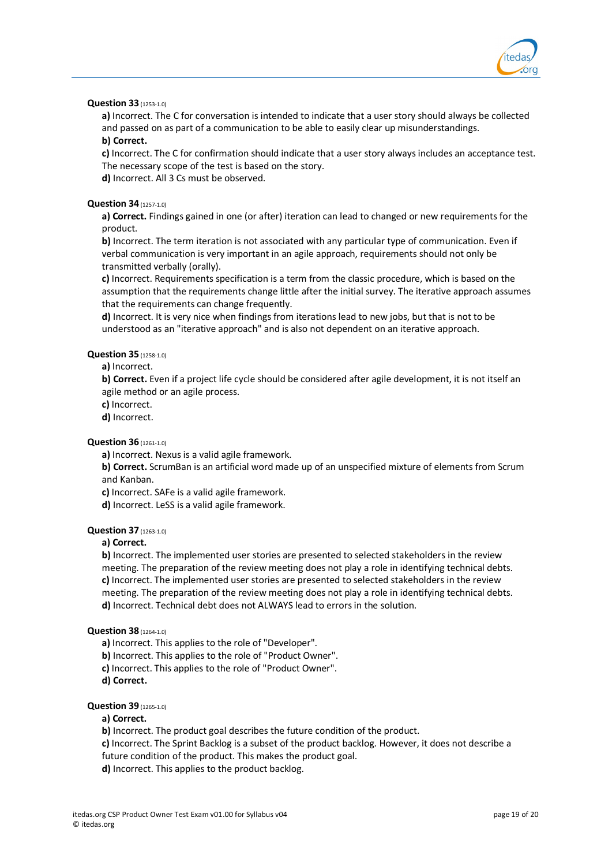

# **Question 33** (1253-1.0)

**a)** Incorrect. The C for conversation is intended to indicate that a user story should always be collected and passed on as part of a communication to be able to easily clear up misunderstandings. **b) Correct.**

**c)** Incorrect. The C for confirmation should indicate that a user story always includes an acceptance test. The necessary scope of the test is based on the story.

**d)** Incorrect. All 3 Cs must be observed.

# **Question 34** (1257-1.0)

**a) Correct.** Findings gained in one (or after) iteration can lead to changed or new requirements for the product.

**b**) Incorrect. The term iteration is not associated with any particular type of communication. Even if verbal communication is very important in an agile approach, requirements should not only be transmitted verbally (orally).

**c)** Incorrect. Requirements specification is a term from the classic procedure, which is based on the assumption that the requirements change little after the initial survey. The iterative approach assumes that the requirements can change frequently.

**d)** Incorrect. It is very nice when findings from iterations lead to new jobs, but that is not to be understood as an "iterative approach" and is also not dependent on an iterative approach.

# **Question 35** (1258-1.0)

**a)** Incorrect.

**b) Correct.** Even if a project life cycle should be considered after agile development, it is not itself an agile method or an agile process.

**c)** Incorrect.

**d)** Incorrect.

#### **Question 36** (1261-1.0)

**a)** Incorrect. Nexus is a valid agile framework.

**b) Correct.** ScrumBan is an artificial word made up of an unspecified mixture of elements from Scrum and Kanban.

**c)** Incorrect. SAFe is a valid agile framework.

**d)** Incorrect. LeSS is a valid agile framework.

#### **Question 37** (1263-1.0)

# **a) Correct.**

**b)** Incorrect. The implemented user stories are presented to selected stakeholders in the review meeting. The preparation of the review meeting does not play a role in identifying technical debts. **c)** Incorrect. The implemented user stories are presented to selected stakeholders in the review meeting. The preparation of the review meeting does not play a role in identifying technical debts. **d)** Incorrect. Technical debt does not ALWAYS lead to errors in the solution.

#### **Question 38** (1264-1.0)

**a)** Incorrect. This applies to the role of "Developer".

**b)** Incorrect. This applies to the role of "Product Owner".

- **c)** Incorrect. This applies to the role of "Product Owner".
- **d) Correct.**

#### **Question 39** (1265-1.0)

#### **a) Correct.**

**b)** Incorrect. The product goal describes the future condition of the product.

**c)** Incorrect. The Sprint Backlog is a subset of the product backlog. However, it does not describe a future condition of the product. This makes the product goal.

**d)** Incorrect. This applies to the product backlog.